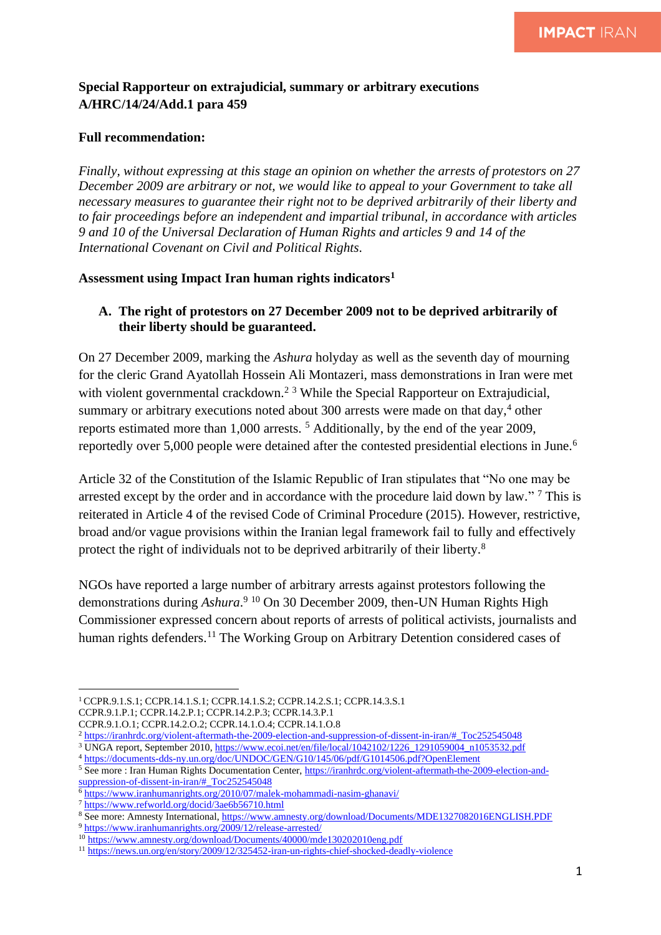# **Special Rapporteur on extrajudicial, summary or arbitrary executions A/HRC/14/24/Add.1 para 459**

#### **Full recommendation:**

*Finally, without expressing at this stage an opinion on whether the arrests of protestors on 27 December 2009 are arbitrary or not, we would like to appeal to your Government to take all necessary measures to guarantee their right not to be deprived arbitrarily of their liberty and to fair proceedings before an independent and impartial tribunal, in accordance with articles 9 and 10 of the Universal Declaration of Human Rights and articles 9 and 14 of the International Covenant on Civil and Political Rights.* 

### **Assessment using Impact Iran human rights indicators<sup>1</sup>**

## **A. The right of protestors on 27 December 2009 not to be deprived arbitrarily of their liberty should be guaranteed.**

On 27 December 2009, marking the *Ashura* holyday as well as the seventh day of mourning for the cleric Grand Ayatollah Hossein Ali Montazeri, mass demonstrations in Iran were met with violent governmental crackdown.<sup>2 3</sup> While the Special Rapporteur on Extrajudicial, summary or arbitrary executions noted about 300 arrests were made on that day, <sup>4</sup> other reports estimated more than 1,000 arrests. <sup>5</sup> Additionally, by the end of the year 2009, reportedly over 5,000 people were detained after the contested presidential elections in June.<sup>6</sup>

Article 32 of the Constitution of the Islamic Republic of Iran stipulates that "No one may be arrested except by the order and in accordance with the procedure laid down by law."<sup>7</sup> This is reiterated in Article 4 of the revised Code of Criminal Procedure (2015). However, restrictive, broad and/or vague provisions within the Iranian legal framework fail to fully and effectively protect the right of individuals not to be deprived arbitrarily of their liberty.<sup>8</sup>

NGOs have reported a large number of arbitrary arrests against protestors following the demonstrations during *Ashura*. <sup>9</sup> <sup>10</sup> On 30 December 2009, then-UN Human Rights High Commissioner expressed concern about reports of arrests of political activists, journalists and human rights defenders.<sup>11</sup> The Working Group on Arbitrary Detention considered cases of

<sup>1</sup>CCPR.9.1.S.1; CCPR.14.1.S.1; CCPR.14.1.S.2; CCPR.14.2.S.1; CCPR.14.3.S.1 CCPR.9.1.P.1; CCPR.14.2.P.1; CCPR.14.2.P.3; CCPR.14.3.P.1

CCPR.9.1.O.1; CCPR.14.2.O.2; CCPR.14.1.O.4; CCPR.14.1.O.8

<sup>2</sup> [https://iranhrdc.org/violent-aftermath-the-2009-election-and-suppression-of-dissent-in-iran/#\\_Toc252545048](https://iranhrdc.org/violent-aftermath-the-2009-election-and-suppression-of-dissent-in-iran/#_Toc252545048)

<sup>&</sup>lt;sup>3</sup> UNGA report, September 2010[, https://www.ecoi.net/en/file/local/1042102/1226\\_1291059004\\_n1053532.pdf](https://www.ecoi.net/en/file/local/1042102/1226_1291059004_n1053532.pdf)

<sup>4</sup> <https://documents-dds-ny.un.org/doc/UNDOC/GEN/G10/145/06/pdf/G1014506.pdf?OpenElement>

<sup>&</sup>lt;sup>5</sup> See more : Iran Human Rights Documentation Center, [https://iranhrdc.org/violent-aftermath-the-2009-election-and](https://iranhrdc.org/violent-aftermath-the-2009-election-and-suppression-of-dissent-in-iran/#_Toc252545048)[suppression-of-dissent-in-iran/#\\_Toc252545048](https://iranhrdc.org/violent-aftermath-the-2009-election-and-suppression-of-dissent-in-iran/#_Toc252545048)

<sup>6</sup> <https://www.iranhumanrights.org/2010/07/malek-mohammadi-nasim-ghanavi/>

<sup>7</sup> <https://www.refworld.org/docid/3ae6b56710.html>

<sup>8</sup> See more: Amnesty International,<https://www.amnesty.org/download/Documents/MDE1327082016ENGLISH.PDF>

<sup>9</sup> <https://www.iranhumanrights.org/2009/12/release-arrested/>

<sup>10</sup> <https://www.amnesty.org/download/Documents/40000/mde130202010eng.pdf>

<sup>11</sup> <https://news.un.org/en/story/2009/12/325452-iran-un-rights-chief-shocked-deadly-violence>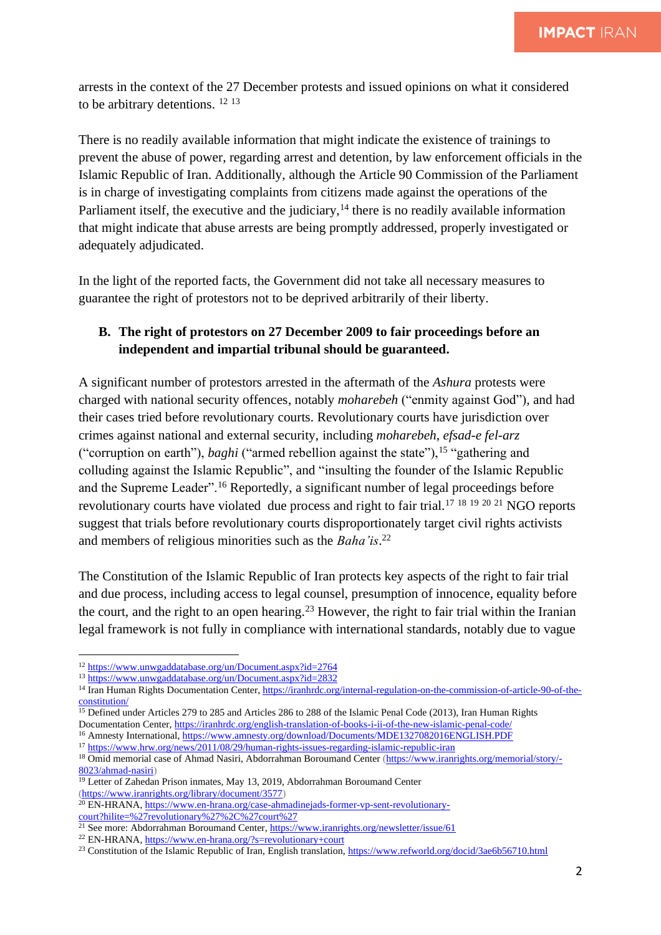arrests in the context of the 27 December protests and issued opinions on what it considered to be arbitrary detentions. <sup>12 13</sup>

There is no readily available information that might indicate the existence of trainings to prevent the abuse of power, regarding arrest and detention, by law enforcement officials in the Islamic Republic of Iran. Additionally, although the Article 90 Commission of the Parliament is in charge of investigating complaints from citizens made against the operations of the Parliament itself, the executive and the judiciary, $14$  there is no readily available information that might indicate that abuse arrests are being promptly addressed, properly investigated or adequately adjudicated.

In the light of the reported facts, the Government did not take all necessary measures to guarantee the right of protestors not to be deprived arbitrarily of their liberty.

## **B. The right of protestors on 27 December 2009 to fair proceedings before an independent and impartial tribunal should be guaranteed.**

A significant number of protestors arrested in the aftermath of the *Ashura* protests were charged with national security offences, notably *moharebeh* ("enmity against God")*,* and had their cases tried before revolutionary courts. Revolutionary courts have jurisdiction over crimes against national and external security, including *moharebeh*, *efsad-e fel-arz* ("corruption on earth"), *baghi* ("armed rebellion against the state"), <sup>15</sup> "gathering and colluding against the Islamic Republic", and "insulting the founder of the Islamic Republic and the Supreme Leader".<sup>16</sup> Reportedly, a significant number of legal proceedings before revolutionary courts have violated due process and right to fair trial.<sup>17</sup> <sup>18</sup> <sup>19</sup> <sup>20</sup> <sup>21</sup> NGO reports suggest that trials before revolutionary courts disproportionately target civil rights activists and members of religious minorities such as the *Baha'is*. 22

The Constitution of the Islamic Republic of Iran protects key aspects of the right to fair trial and due process, including access to legal counsel, presumption of innocence, equality before the court, and the right to an open hearing.<sup>23</sup> However, the right to fair trial within the Iranian legal framework is not fully in compliance with international standards, notably due to vague

<sup>12</sup> <https://www.unwgaddatabase.org/un/Document.aspx?id=2764>

<sup>13</sup> <https://www.unwgaddatabase.org/un/Document.aspx?id=2832>

<sup>&</sup>lt;sup>14</sup> Iran Human Rights Documentation Center[, https://iranhrdc.org/internal-regulation-on-the-commission-of-article-90-of-the](https://iranhrdc.org/internal-regulation-on-the-commission-of-article-90-of-the-constitution/)[constitution/](https://iranhrdc.org/internal-regulation-on-the-commission-of-article-90-of-the-constitution/)

<sup>&</sup>lt;sup>15</sup> Defined under Articles 279 to 285 and Articles 286 to 288 of the Islamic Penal Code (2013), Iran Human Rights Documentation Center,<https://iranhrdc.org/english-translation-of-books-i-ii-of-the-new-islamic-penal-code/>

<sup>&</sup>lt;sup>16</sup> Amnesty International[, https://www.amnesty.org/download/Documents/MDE1327082016ENGLISH.PDF](https://www.amnesty.org/download/Documents/MDE1327082016ENGLISH.PDF)

<sup>17</sup> <https://www.hrw.org/news/2011/08/29/human-rights-issues-regarding-islamic-republic-iran>

<sup>&</sup>lt;sup>18</sup> Omid memorial case of Ahmad Nasiri, Abdorrahman Boroumand Center [\(https://www.iranrights.org/memorial/story/-](https://www.iranrights.org/memorial/story/-8023/ahmad-nasiri) [8023/ahmad-nasiri\)](https://www.iranrights.org/memorial/story/-8023/ahmad-nasiri)

<sup>&</sup>lt;sup>19</sup> Letter of Zahedan Prison inmates, May 13, 2019, Abdorrahman Boroumand Center [\(https://www.iranrights.org/library/document/3577\)](https://www.iranrights.org/library/document/3577)

<sup>20</sup> EN-HRANA[, https://www.en-hrana.org/case-ahmadinejads-former-vp-sent-revolutionary](https://www.en-hrana.org/case-ahmadinejads-former-vp-sent-revolutionary-court?hilite=%27revolutionary%27%2C%27court%27)[court?hilite=%27revolutionary%27%2C%27court%27](https://www.en-hrana.org/case-ahmadinejads-former-vp-sent-revolutionary-court?hilite=%27revolutionary%27%2C%27court%27)

<sup>&</sup>lt;sup>21</sup> See more: Abdorrahman Boroumand Center,<https://www.iranrights.org/newsletter/issue/61>

<sup>22</sup> EN-HRANA[, https://www.en-hrana.org/?s=revolutionary+court](https://www.en-hrana.org/?s=revolutionary+court)

<sup>&</sup>lt;sup>23</sup> Constitution of the Islamic Republic of Iran, English translation,<https://www.refworld.org/docid/3ae6b56710.html>